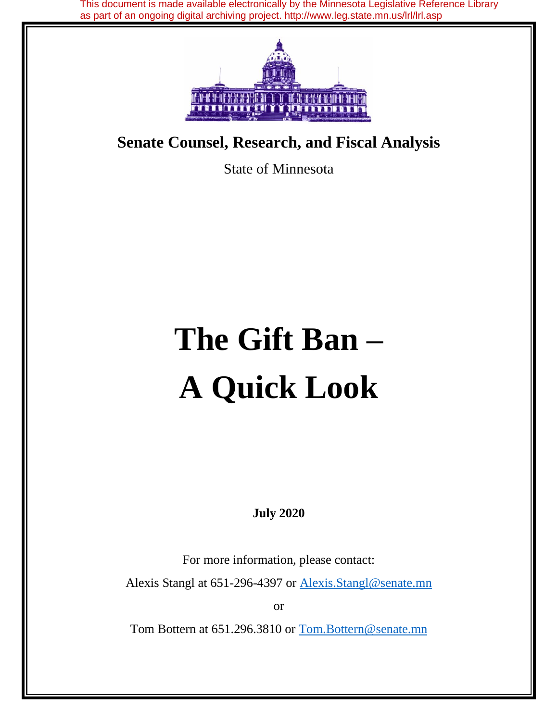This document is made available electronically by the Minnesota Legislative Reference Library as part of an ongoing digital archiving project. http://www.leg.state.mn.us/lrl/lrl.asp



# **Senate Counsel, Research, and Fiscal Analysis**

State of Minnesota

# **The Gift Ban – A Quick Look**

**July 2020**

For more information, please contact:

Alexis Stangl at 651-296-4397 or **Alexis.Stangl@senate.mn** 

or

Tom Bottern at 651.296.3810 or Tom.Bottern@senate.mn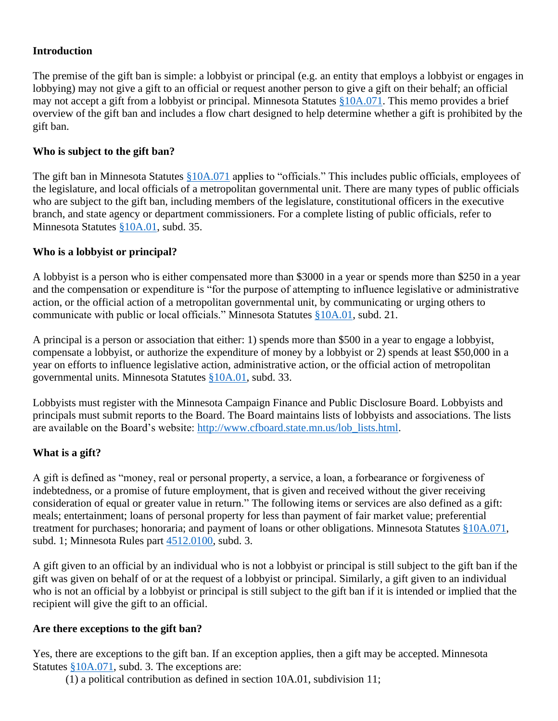# **Introduction**

The premise of the gift ban is simple: a lobbyist or principal (e.g. an entity that employs a lobbyist or engages in lobbying) may not give a gift to an official or request another person to give a gift on their behalf; an official may not accept a gift from a lobbyist or principal. Minnesota Statutes [§10A.071.](https://www.revisor.mn.gov/statutes/?id=10A.071) This memo provides a brief overview of the gift ban and includes a flow chart designed to help determine whether a gift is prohibited by the gift ban.

# **Who is subject to the gift ban?**

The gift ban in Minnesota Statutes [§10A.071](https://www.revisor.mn.gov/statutes/?id=10A.071) applies to "officials." This includes public officials, employees of the legislature, and local officials of a metropolitan governmental unit. There are many types of public officials who are subject to the gift ban, including members of the legislature, constitutional officers in the executive branch, and state agency or department commissioners. For a complete listing of public officials, refer to Minnesota Statutes [§10A.01,](https://www.revisor.mn.gov/statutes/?id=10A.01) subd. 35.

#### **Who is a lobbyist or principal?**

A lobbyist is a person who is either compensated more than \$3000 in a year or spends more than \$250 in a year and the compensation or expenditure is "for the purpose of attempting to influence legislative or administrative action, or the official action of a metropolitan governmental unit, by communicating or urging others to communicate with public or local officials." Minnesota Statutes [§10A.01,](https://www.revisor.mn.gov/statutes/?id=10A.01) subd. 21.

A principal is a person or association that either: 1) spends more than \$500 in a year to engage a lobbyist, compensate a lobbyist, or authorize the expenditure of money by a lobbyist or 2) spends at least \$50,000 in a year on efforts to influence legislative action, administrative action, or the official action of metropolitan governmental units. Minnesota Statutes [§10A.01,](https://www.revisor.mn.gov/statutes/?id=10A.01) subd. 33.

Lobbyists must register with the Minnesota Campaign Finance and Public Disclosure Board. Lobbyists and principals must submit reports to the Board. The Board maintains lists of lobbyists and associations. The lists are available on the Board's website: [http://www.cfboard.state.mn.us/lob\\_lists.html.](http://www.cfboard.state.mn.us/lob_lists.html)

# **What is a gift?**

A gift is defined as "money, real or personal property, a service, a loan, a forbearance or forgiveness of indebtedness, or a promise of future employment, that is given and received without the giver receiving consideration of equal or greater value in return." The following items or services are also defined as a gift: meals; entertainment; loans of personal property for less than payment of fair market value; preferential treatment for purchases; honoraria; and payment of loans or other obligations. Minnesota Statutes [§10A.071,](https://www.revisor.mn.gov/statutes/?id=10A.071) subd. 1; Minnesota Rules part [4512.0100,](https://www.revisor.mn.gov/rules/?id=4512.0100) subd. 3.

A gift given to an official by an individual who is not a lobbyist or principal is still subject to the gift ban if the gift was given on behalf of or at the request of a lobbyist or principal. Similarly, a gift given to an individual who is not an official by a lobbyist or principal is still subject to the gift ban if it is intended or implied that the recipient will give the gift to an official.

#### **Are there exceptions to the gift ban?**

Yes, there are exceptions to the gift ban. If an exception applies, then a gift may be accepted. Minnesota Statutes [§10A.071,](https://www.revisor.mn.gov/statutes/?id=10A.071) subd. 3. The exceptions are:

(1) a political contribution as defined in section 10A.01, subdivision 11;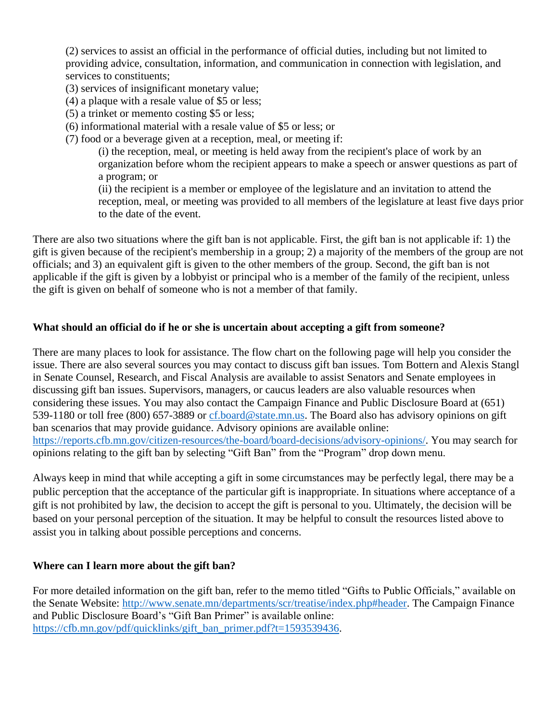(2) services to assist an official in the performance of official duties, including but not limited to providing advice, consultation, information, and communication in connection with legislation, and services to constituents;

- (3) services of insignificant monetary value;
- (4) a plaque with a resale value of \$5 or less;
- (5) a trinket or memento costing \$5 or less;
- (6) informational material with a resale value of \$5 or less; or
- (7) food or a beverage given at a reception, meal, or meeting if:

(i) the reception, meal, or meeting is held away from the recipient's place of work by an organization before whom the recipient appears to make a speech or answer questions as part of a program; or

(ii) the recipient is a member or employee of the legislature and an invitation to attend the reception, meal, or meeting was provided to all members of the legislature at least five days prior to the date of the event.

There are also two situations where the gift ban is not applicable. First, the gift ban is not applicable if: 1) the gift is given because of the recipient's membership in a group; 2) a majority of the members of the group are not officials; and 3) an equivalent gift is given to the other members of the group. Second, the gift ban is not applicable if the gift is given by a lobbyist or principal who is a member of the family of the recipient, unless the gift is given on behalf of someone who is not a member of that family.

# **What should an official do if he or she is uncertain about accepting a gift from someone?**

There are many places to look for assistance. The flow chart on the following page will help you consider the issue. There are also several sources you may contact to discuss gift ban issues. Tom Bottern and Alexis Stangl in Senate Counsel, Research, and Fiscal Analysis are available to assist Senators and Senate employees in discussing gift ban issues. Supervisors, managers, or caucus leaders are also valuable resources when considering these issues. You may also contact the Campaign Finance and Public Disclosure Board at (651) 539-1180 or toll free (800) 657-3889 or [cf.board@state.mn.us.](mailto:cf.board@state.mn.us) The Board also has advisory opinions on gift ban scenarios that may provide guidance. Advisory opinions are available online: [https://reports.cfb.mn.gov/citizen-resources/the-board/board-decisions/advisory-opinions/.](https://reports.cfb.mn.gov/citizen-resources/the-board/board-decisions/advisory-opinions/) You may search for opinions relating to the gift ban by selecting "Gift Ban" from the "Program" drop down menu.

Always keep in mind that while accepting a gift in some circumstances may be perfectly legal, there may be a public perception that the acceptance of the particular gift is inappropriate. In situations where acceptance of a gift is not prohibited by law, the decision to accept the gift is personal to you. Ultimately, the decision will be based on your personal perception of the situation. It may be helpful to consult the resources listed above to assist you in talking about possible perceptions and concerns.

# **Where can I learn more about the gift ban?**

For more detailed information on the gift ban, refer to the memo titled "Gifts to Public Officials," available on the Senate Website: [http://www.senate.mn/departments/scr/treatise/index.php#header.](http://www.senate.mn/departments/scr/treatise/index.php#header) The Campaign Finance and Public Disclosure Board's "Gift Ban Primer" is available online: [https://cfb.mn.gov/pdf/quicklinks/gift\\_ban\\_primer.pdf?t=1593539436.](https://cfb.mn.gov/pdf/quicklinks/gift_ban_primer.pdf?t=1593539436)